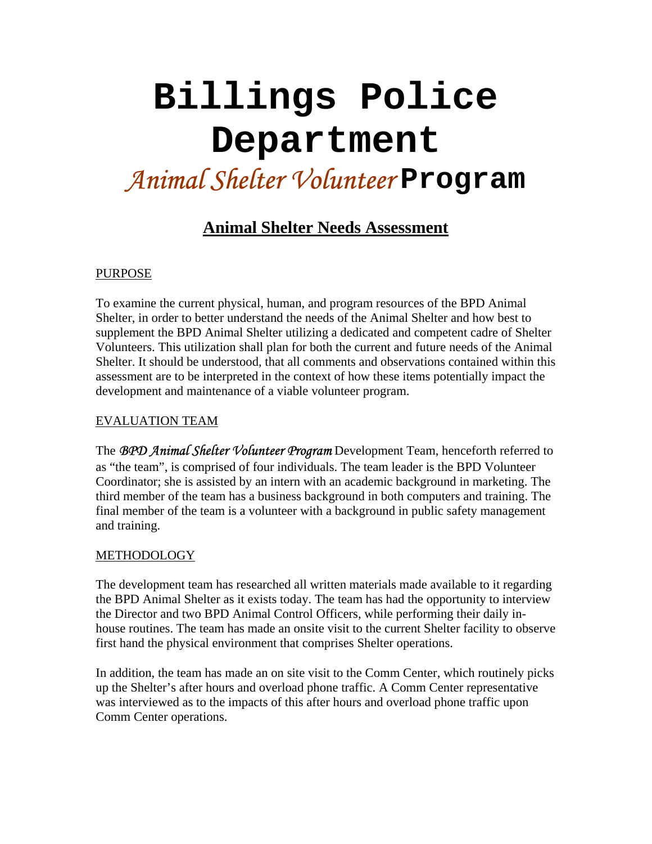# **Billings Police Department**  *Animal Shelter Volunteer* **Program**

# **Animal Shelter Needs Assessment**

#### PURPOSE

To examine the current physical, human, and program resources of the BPD Animal Shelter, in order to better understand the needs of the Animal Shelter and how best to supplement the BPD Animal Shelter utilizing a dedicated and competent cadre of Shelter Volunteers. This utilization shall plan for both the current and future needs of the Animal Shelter. It should be understood, that all comments and observations contained within this assessment are to be interpreted in the context of how these items potentially impact the development and maintenance of a viable volunteer program.

#### EVALUATION TEAM

The *BPD Animal Shelter Volunteer Program* Development Team, henceforth referred to as "the team", is comprised of four individuals. The team leader is the BPD Volunteer Coordinator; she is assisted by an intern with an academic background in marketing. The third member of the team has a business background in both computers and training. The final member of the team is a volunteer with a background in public safety management and training.

#### **METHODOLOGY**

The development team has researched all written materials made available to it regarding the BPD Animal Shelter as it exists today. The team has had the opportunity to interview the Director and two BPD Animal Control Officers, while performing their daily inhouse routines. The team has made an onsite visit to the current Shelter facility to observe first hand the physical environment that comprises Shelter operations.

In addition, the team has made an on site visit to the Comm Center, which routinely picks up the Shelter's after hours and overload phone traffic. A Comm Center representative was interviewed as to the impacts of this after hours and overload phone traffic upon Comm Center operations.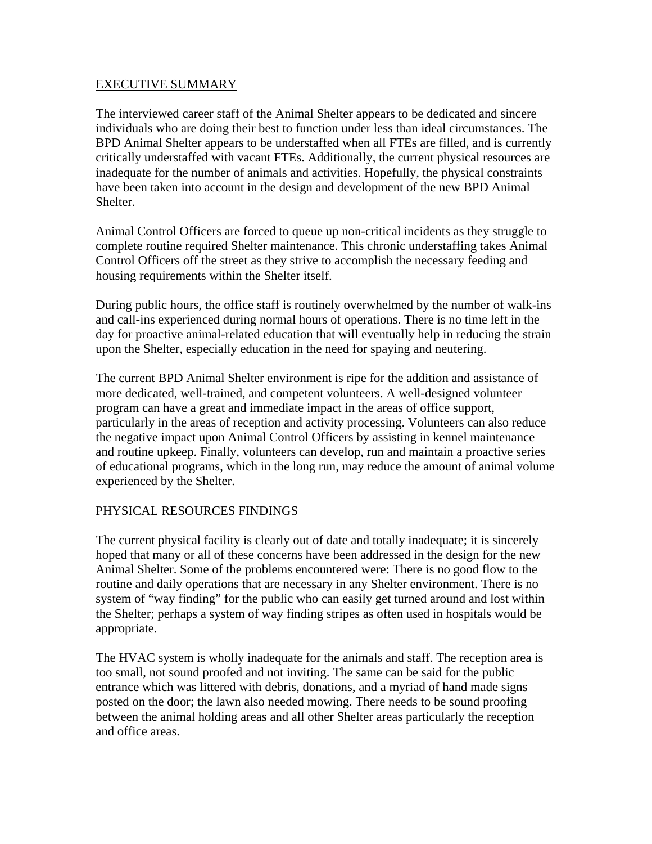#### EXECUTIVE SUMMARY

The interviewed career staff of the Animal Shelter appears to be dedicated and sincere individuals who are doing their best to function under less than ideal circumstances. The BPD Animal Shelter appears to be understaffed when all FTEs are filled, and is currently critically understaffed with vacant FTEs. Additionally, the current physical resources are inadequate for the number of animals and activities. Hopefully, the physical constraints have been taken into account in the design and development of the new BPD Animal Shelter.

Animal Control Officers are forced to queue up non-critical incidents as they struggle to complete routine required Shelter maintenance. This chronic understaffing takes Animal Control Officers off the street as they strive to accomplish the necessary feeding and housing requirements within the Shelter itself.

During public hours, the office staff is routinely overwhelmed by the number of walk-ins and call-ins experienced during normal hours of operations. There is no time left in the day for proactive animal-related education that will eventually help in reducing the strain upon the Shelter, especially education in the need for spaying and neutering.

The current BPD Animal Shelter environment is ripe for the addition and assistance of more dedicated, well-trained, and competent volunteers. A well-designed volunteer program can have a great and immediate impact in the areas of office support, particularly in the areas of reception and activity processing. Volunteers can also reduce the negative impact upon Animal Control Officers by assisting in kennel maintenance and routine upkeep. Finally, volunteers can develop, run and maintain a proactive series of educational programs, which in the long run, may reduce the amount of animal volume experienced by the Shelter.

## PHYSICAL RESOURCES FINDINGS

The current physical facility is clearly out of date and totally inadequate; it is sincerely hoped that many or all of these concerns have been addressed in the design for the new Animal Shelter. Some of the problems encountered were: There is no good flow to the routine and daily operations that are necessary in any Shelter environment. There is no system of "way finding" for the public who can easily get turned around and lost within the Shelter; perhaps a system of way finding stripes as often used in hospitals would be appropriate.

The HVAC system is wholly inadequate for the animals and staff. The reception area is too small, not sound proofed and not inviting. The same can be said for the public entrance which was littered with debris, donations, and a myriad of hand made signs posted on the door; the lawn also needed mowing. There needs to be sound proofing between the animal holding areas and all other Shelter areas particularly the reception and office areas.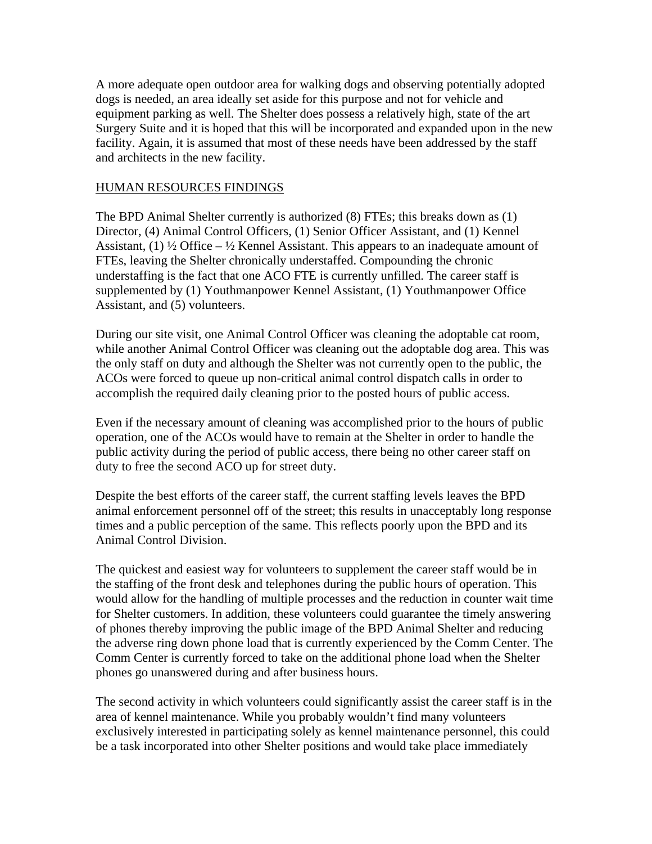A more adequate open outdoor area for walking dogs and observing potentially adopted dogs is needed, an area ideally set aside for this purpose and not for vehicle and equipment parking as well. The Shelter does possess a relatively high, state of the art Surgery Suite and it is hoped that this will be incorporated and expanded upon in the new facility. Again, it is assumed that most of these needs have been addressed by the staff and architects in the new facility.

#### HUMAN RESOURCES FINDINGS

The BPD Animal Shelter currently is authorized (8) FTEs; this breaks down as (1) Director, (4) Animal Control Officers, (1) Senior Officer Assistant, and (1) Kennel Assistant, (1)  $\frac{1}{2}$  Office –  $\frac{1}{2}$  Kennel Assistant. This appears to an inadequate amount of FTEs, leaving the Shelter chronically understaffed. Compounding the chronic understaffing is the fact that one ACO FTE is currently unfilled. The career staff is supplemented by (1) Youthmanpower Kennel Assistant, (1) Youthmanpower Office Assistant, and (5) volunteers.

During our site visit, one Animal Control Officer was cleaning the adoptable cat room, while another Animal Control Officer was cleaning out the adoptable dog area. This was the only staff on duty and although the Shelter was not currently open to the public, the ACOs were forced to queue up non-critical animal control dispatch calls in order to accomplish the required daily cleaning prior to the posted hours of public access.

Even if the necessary amount of cleaning was accomplished prior to the hours of public operation, one of the ACOs would have to remain at the Shelter in order to handle the public activity during the period of public access, there being no other career staff on duty to free the second ACO up for street duty.

Despite the best efforts of the career staff, the current staffing levels leaves the BPD animal enforcement personnel off of the street; this results in unacceptably long response times and a public perception of the same. This reflects poorly upon the BPD and its Animal Control Division.

The quickest and easiest way for volunteers to supplement the career staff would be in the staffing of the front desk and telephones during the public hours of operation. This would allow for the handling of multiple processes and the reduction in counter wait time for Shelter customers. In addition, these volunteers could guarantee the timely answering of phones thereby improving the public image of the BPD Animal Shelter and reducing the adverse ring down phone load that is currently experienced by the Comm Center. The Comm Center is currently forced to take on the additional phone load when the Shelter phones go unanswered during and after business hours.

The second activity in which volunteers could significantly assist the career staff is in the area of kennel maintenance. While you probably wouldn't find many volunteers exclusively interested in participating solely as kennel maintenance personnel, this could be a task incorporated into other Shelter positions and would take place immediately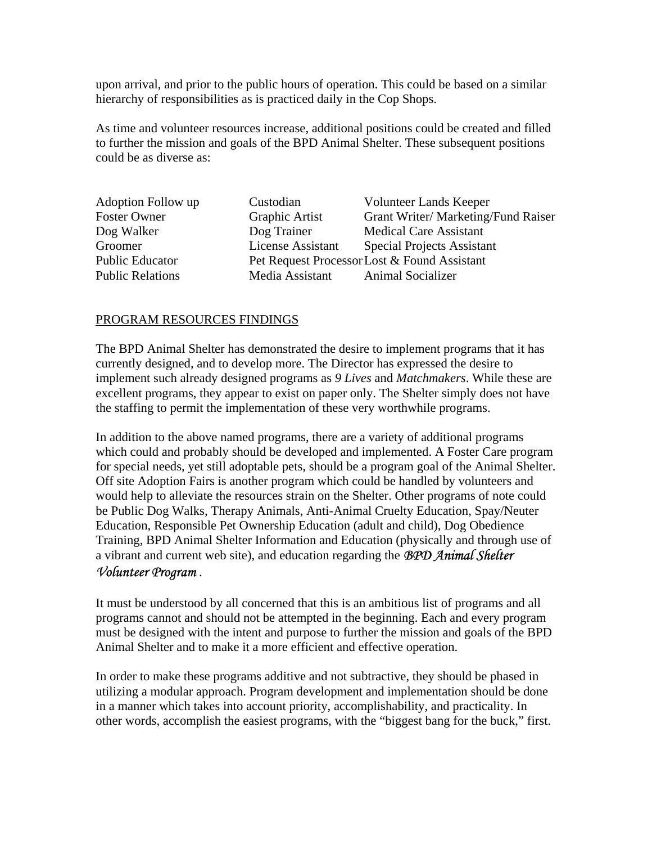upon arrival, and prior to the public hours of operation. This could be based on a similar hierarchy of responsibilities as is practiced daily in the Cop Shops.

As time and volunteer resources increase, additional positions could be created and filled to further the mission and goals of the BPD Animal Shelter. These subsequent positions could be as diverse as:

| Adoption Follow up      | Custodian                         | Volunteer Lands Keeper                       |
|-------------------------|-----------------------------------|----------------------------------------------|
| <b>Foster Owner</b>     | Graphic Artist                    | Grant Writer/Marketing/Fund Raiser           |
| Dog Walker              | Dog Trainer                       | <b>Medical Care Assistant</b>                |
| Groomer                 | License Assistant                 | <b>Special Projects Assistant</b>            |
| <b>Public Educator</b>  |                                   | Pet Request Processor Lost & Found Assistant |
| <b>Public Relations</b> | Media Assistant Animal Socializer |                                              |

#### PROGRAM RESOURCES FINDINGS

The BPD Animal Shelter has demonstrated the desire to implement programs that it has currently designed, and to develop more. The Director has expressed the desire to implement such already designed programs as *9 Lives* and *Matchmakers*. While these are excellent programs, they appear to exist on paper only. The Shelter simply does not have the staffing to permit the implementation of these very worthwhile programs.

In addition to the above named programs, there are a variety of additional programs which could and probably should be developed and implemented. A Foster Care program for special needs, yet still adoptable pets, should be a program goal of the Animal Shelter. Off site Adoption Fairs is another program which could be handled by volunteers and would help to alleviate the resources strain on the Shelter. Other programs of note could be Public Dog Walks, Therapy Animals, Anti-Animal Cruelty Education, Spay/Neuter Education, Responsible Pet Ownership Education (adult and child), Dog Obedience Training, BPD Animal Shelter Information and Education (physically and through use of a vibrant and current web site), and education regarding the *BPD Animal Shelter Volunteer Program* .

It must be understood by all concerned that this is an ambitious list of programs and all programs cannot and should not be attempted in the beginning. Each and every program must be designed with the intent and purpose to further the mission and goals of the BPD Animal Shelter and to make it a more efficient and effective operation.

In order to make these programs additive and not subtractive, they should be phased in utilizing a modular approach. Program development and implementation should be done in a manner which takes into account priority, accomplishability, and practicality. In other words, accomplish the easiest programs, with the "biggest bang for the buck," first.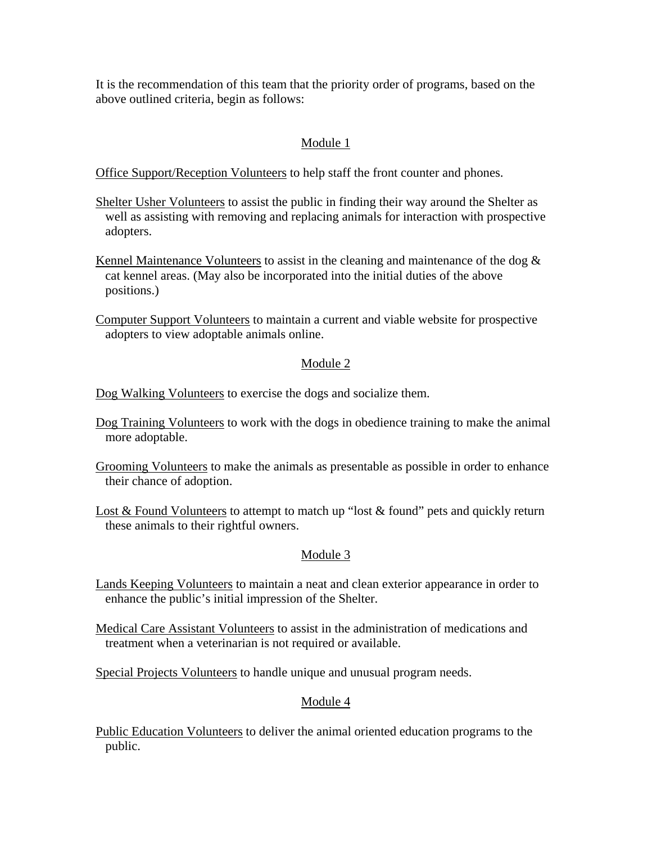It is the recommendation of this team that the priority order of programs, based on the above outlined criteria, begin as follows:

# Module 1

Office Support/Reception Volunteers to help staff the front counter and phones.

- Shelter Usher Volunteers to assist the public in finding their way around the Shelter as well as assisting with removing and replacing animals for interaction with prospective adopters.
- Kennel Maintenance Volunteers to assist in the cleaning and maintenance of the dog  $\&$  cat kennel areas. (May also be incorporated into the initial duties of the above positions.)
- Computer Support Volunteers to maintain a current and viable website for prospective adopters to view adoptable animals online.

# Module 2

Dog Walking Volunteers to exercise the dogs and socialize them.

- Dog Training Volunteers to work with the dogs in obedience training to make the animal more adoptable.
- Grooming Volunteers to make the animals as presentable as possible in order to enhance their chance of adoption.
- Lost & Found Volunteers to attempt to match up "lost & found" pets and quickly return these animals to their rightful owners.

# Module 3

- Lands Keeping Volunteers to maintain a neat and clean exterior appearance in order to enhance the public's initial impression of the Shelter.
- Medical Care Assistant Volunteers to assist in the administration of medications and treatment when a veterinarian is not required or available.

Special Projects Volunteers to handle unique and unusual program needs.

## Module 4

Public Education Volunteers to deliver the animal oriented education programs to the public.